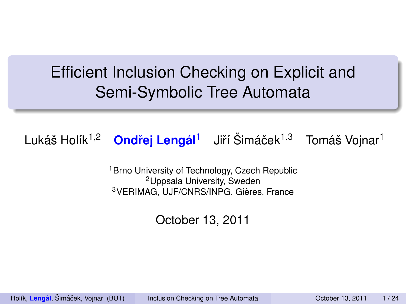# Efficient Inclusion Checking on Explicit and Semi-Symbolic Tree Automata

Lukáš Holík<sup>1,2</sup> <mark>Ondřej Lengál<sup>1</sup> J</mark>iří Šimáček<sup>1,3</sup> Tomáš Vojnar<sup>1</sup>

<sup>1</sup> Brno University of Technology, Czech Republic <sup>2</sup>Uppsala University, Sweden <sup>3</sup>VERIMAG, UJF/CNRS/INPG, Gières, France

<span id="page-0-0"></span>October 13, 2011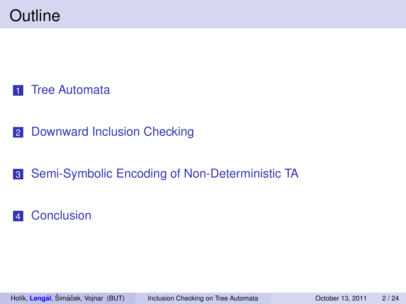- [Downward Inclusion Checking](#page-52-0)
- [Semi-Symbolic Encoding of Non-Deterministic TA](#page-82-0)

#### [Conclusion](#page-90-0)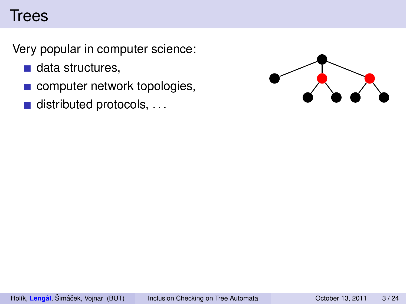Very popular in computer science:

- $\blacksquare$  data structures,
- computer network topologies,
- $\blacksquare$  distributed protocols, ...

<span id="page-2-0"></span>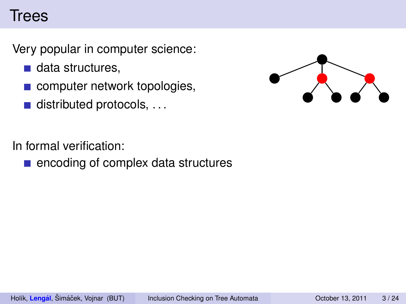Very popular in computer science:

- $\blacksquare$  data structures.
- **computer network topologies,**
- $\blacksquare$  distributed protocols, ...

In formal verification:

■ encoding of complex data structures

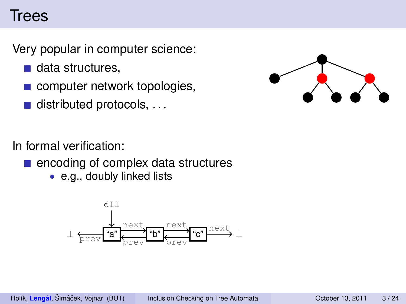Very popular in computer science:

- $\blacksquare$  data structures.
- computer network topologies,
- $\blacksquare$  distributed protocols, ...



In formal verification:

- **E** encoding of complex data structures
	- e.g., doubly linked lists

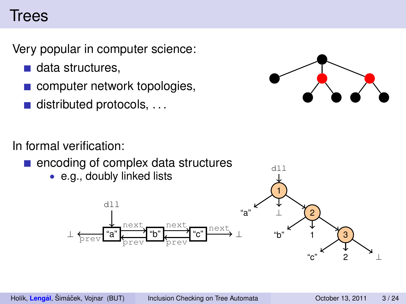Very popular in computer science:

- $\blacksquare$  data structures.
- **computer network topologies,**
- distributed protocols, . . .



In formal verification:

- **E** encoding of complex data structures
	- e.g., doubly linked lists



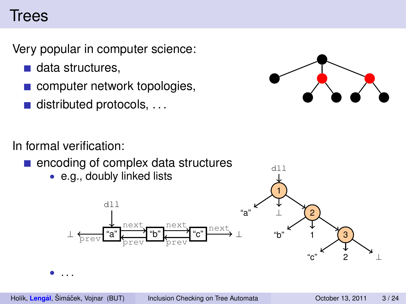Very popular in computer science:

- $\blacksquare$  data structures.
- **computer network topologies,**
- $\blacksquare$  distributed protocols, ...



In formal verification:

**E** encoding of complex data structures

"a"  $\begin{array}{|c|c|c|}\n\hline\n-\hline\n\end{array}$  "b"  $\begin{array}{|c|c|}\n\hline\n\end{array}$  "c"

prev d  $\overline{\mathbf{p}}_{\text{prev}}$  b  $\overline{\mathbf{p}}_{\text{prev}}$ 

next<br>and next<br>and next

• e.g., doubly linked lists

dll



• . . .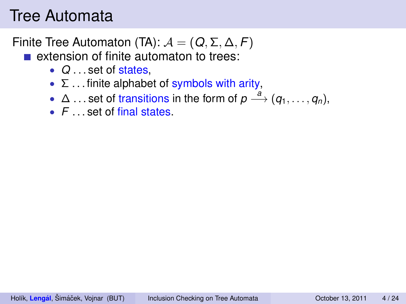- $\blacksquare$  extension of finite automaton to trees:
	- *Q* . . . set of states,
	- $\Sigma$  ... finite alphabet of symbols with arity,
	- $\Delta$  ... set of transitions in the form of  $p \stackrel{a}{\longrightarrow} (q_1, \ldots, q_n)$ ,
	- *F* . . . set of final states.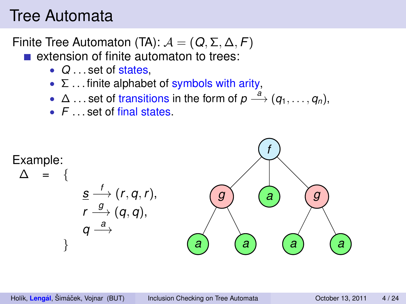- **E** extension of finite automaton to trees:
	- *Q* . . . set of states,
	- $\Sigma$  ... finite alphabet of symbols with arity,
	- $\Delta$  ... set of transitions in the form of  $p \stackrel{a}{\longrightarrow} (q_1, \ldots, q_n)$ ,
	- *F* . . . set of final states.

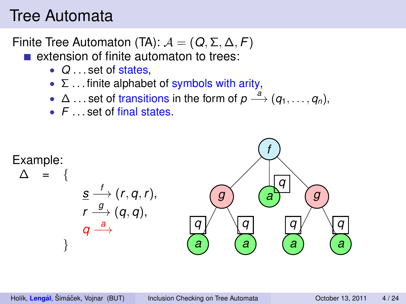- **E** extension of finite automaton to trees:
	- *Q* . . . set of states,
	- $\Sigma$  ... finite alphabet of symbols with arity,
	- $\Delta$  ... set of transitions in the form of  $p \stackrel{a}{\longrightarrow} (q_1, \ldots, q_n)$ ,
	- *F* . . . set of final states.

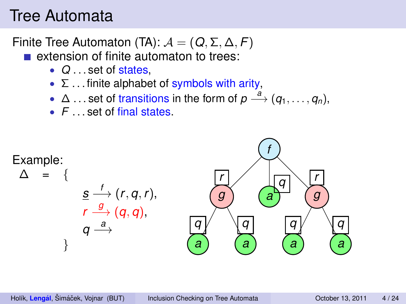- **E** extension of finite automaton to trees:
	- *Q* . . . set of states,
	- $\Sigma$  ... finite alphabet of symbols with arity,
	- $\Delta$  ... set of transitions in the form of  $p \stackrel{a}{\longrightarrow} (q_1, \ldots, q_n)$ ,
	- *F* . . . set of final states.

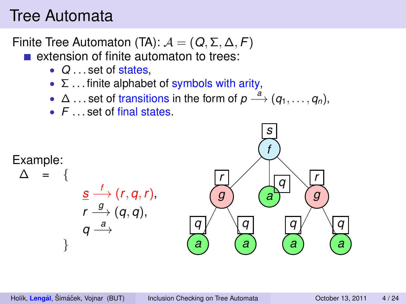- **E** extension of finite automaton to trees:
	- *Q* . . . set of states,
	- $\Sigma$  ... finite alphabet of symbols with arity,
	- $\Delta$  ... set of transitions in the form of  $p \stackrel{a}{\longrightarrow} (q_1, \ldots, q_n)$ ,
	- *F* . . . set of final states.

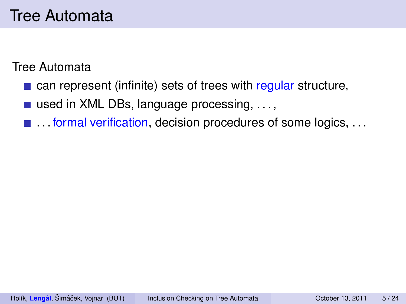- $\blacksquare$  can represent (infinite) sets of trees with regular structure,
- used in XML DBs, language processing, . . . ,
- ... formal verification, decision procedures of some logics, ...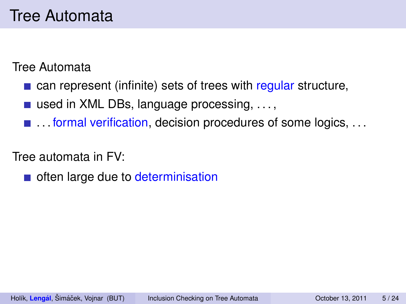**E** can represent (infinite) sets of trees with regular structure,

used in XML DBs, language processing,  $\dots$ ,

■ ... formal verification, decision procedures of some logics, ...

Tree automata in FV:

often large due to determinisation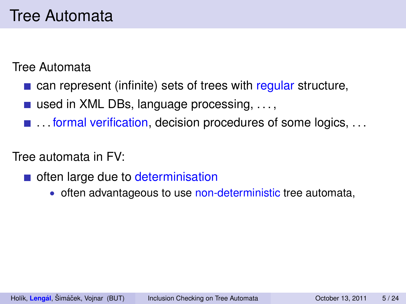- **E** can represent (infinite) sets of trees with regular structure,
- used in XML DBs, language processing,  $\dots$ ,
- **E** ... formal verification, decision procedures of some logics, ...

- often large due to determinisation
	- often advantageous to use non-deterministic tree automata,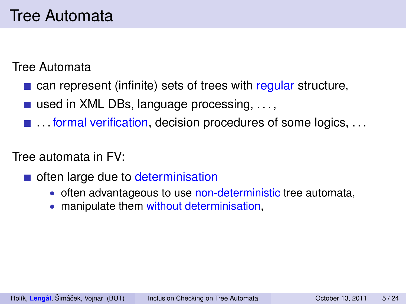- **E** can represent (infinite) sets of trees with regular structure,
- used in XML DBs, language processing,  $\dots$ ,
- **E** ... formal verification, decision procedures of some logics, ...

- often large due to determinisation
	- often advantageous to use non-deterministic tree automata,
	- manipulate them without determinisation,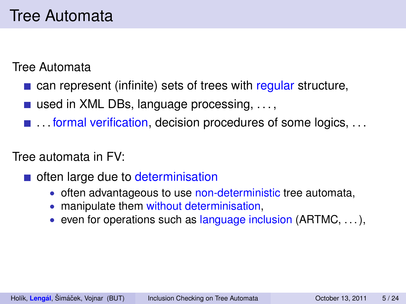- **E** can represent (infinite) sets of trees with regular structure,
- used in XML DBs, language processing,  $\dots$ ,
- **E** ... formal verification, decision procedures of some logics, ...

- often large due to determinisation
	- often advantageous to use non-deterministic tree automata,
	- manipulate them without determinisation,
	- even for operations such as language inclusion  $(ARTMC, \ldots),$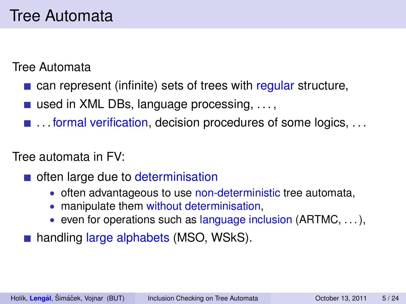- **E** can represent (infinite) sets of trees with regular structure,
- used in XML DBs, language processing,  $\dots$ ,
- **E** ... formal verification, decision procedures of some logics, ...

- often large due to determinisation
	- often advantageous to use non-deterministic tree automata,
	- manipulate them without determinisation,
	- even for operations such as language inclusion  $(ARTMC, \ldots),$
- handling large alphabets (MSO, WSkS).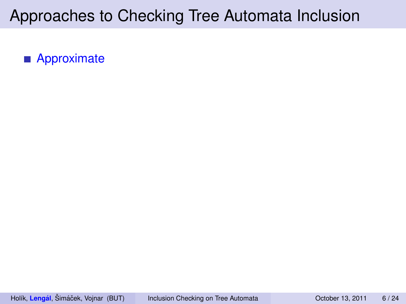**Approximate**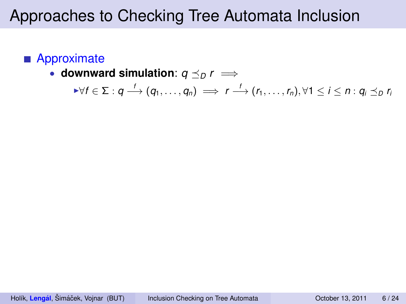#### **Approximate**

• downward simulation:  $q \preceq_D r \implies$ 

$$
\forall f \in \Sigma : q \stackrel{f}{\longrightarrow} (q_1, \ldots, q_n) \implies r \stackrel{f}{\longrightarrow} (r_1, \ldots, r_n), \forall 1 \leq i \leq n : q_i \leq_D r_i
$$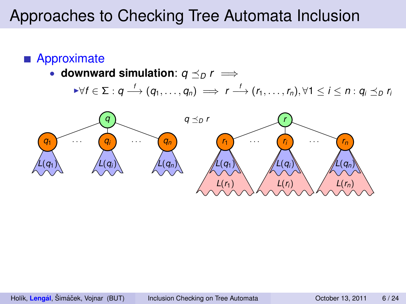#### **Approximate**

• downward simulation:  $q \preceq_D r \implies$ 

$$
\forall f \in \Sigma : q \stackrel{f}{\longrightarrow} (q_1, \ldots, q_n) \implies r \stackrel{f}{\longrightarrow} (r_1, \ldots, r_n), \forall 1 \leq i \leq n : q_i \leq_D r_i
$$

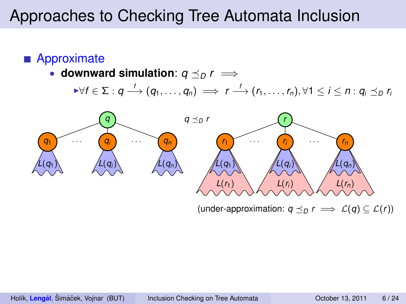#### **Approximate**

• downward simulation:  $q \preceq_D r \implies$ 

$$
\forall f \in \Sigma : q \stackrel{f}{\longrightarrow} (q_1, \ldots, q_n) \implies r \stackrel{f}{\longrightarrow} (r_1, \ldots, r_n), \forall 1 \leq i \leq n : q_i \leq_D r_i
$$



(under-approximation:  $q \preceq_D r \implies \mathcal{L}(q) \subseteq \mathcal{L}(r)$ )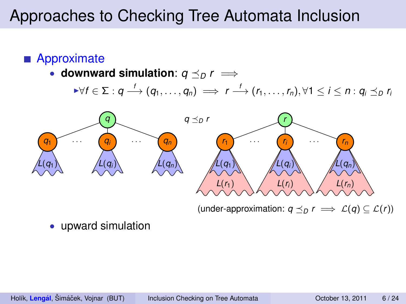#### **Approximate**

• downward simulation:  $q \preceq_D r \implies$ 

 $\forall f \in \Sigma : q \stackrel{f}{\longrightarrow} (q_1, \ldots, q_n) \implies r \stackrel{f}{\longrightarrow} (r_1, \ldots, r_n), \forall 1 \leq i \leq n : q_i \preceq_D r_i$ 



(under-approximation:  $q \preceq_D r \implies \mathcal{L}(q) \subseteq \mathcal{L}(r)$ )

• upward simulation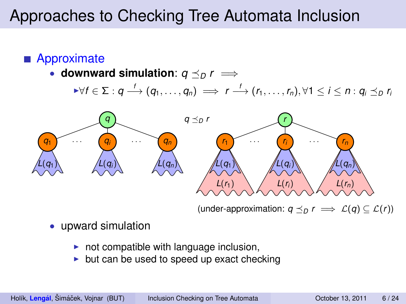#### **Approximate**

• downward simulation:  $q \prec_p r \implies$ 

$$
\forall f \in \Sigma : q \stackrel{f}{\longrightarrow} (q_1, \ldots, q_n) \implies r \stackrel{f}{\longrightarrow} (r_1, \ldots, r_n), \forall 1 \leq i \leq n : q_i \preceq_D r_i
$$



(under-approximation:  $q \preceq_D r \implies \mathcal{L}(q) \subseteq \mathcal{L}(r)$ )

- upward simulation
	- $\triangleright$  not compatible with language inclusion,
	- $\triangleright$  but can be used to speed up exact checking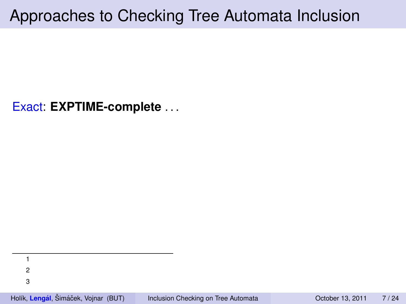Exact: **EXPTIME-complete** . . .

1 2

3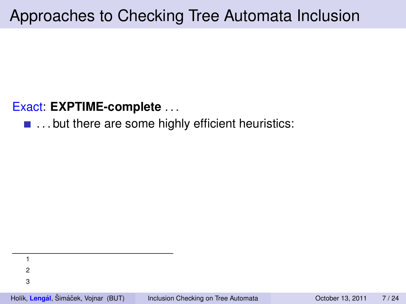Exact: **EXPTIME-complete** . . .

 $\blacksquare$  ... but there are some highly efficient heuristics:

1 2 3

Holík, Lengál, Šimáček, Vojnar (BUT) **inclusion Checking on Tree Automata** Cotober 13, 2011 7/24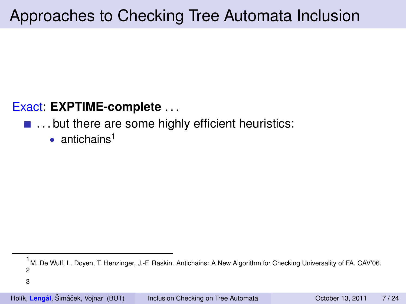#### Exact: **EXPTIME-complete** . . .

#### $\blacksquare$  ... but there are some highly efficient heuristics:

• antichains<sup>1</sup>

<sup>1&</sup>lt;br>M. De Wulf, L. Doyen, T. Henzinger, J.-F. Raskin. Antichains: A New Algorithm for Checking Universality of FA. CAV'06. 2

<sup>3</sup>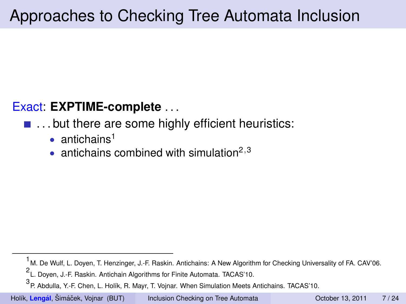#### Exact: **EXPTIME-complete** . . .

#### ■ ... but there are some highly efficient heuristics:

- antichains<sup>1</sup>
- antichains combined with simulation<sup>2,3</sup>

Holík, Lengál, Šimáček, Vojnar (BUT) **i**nclusion Checking on Tree Automata **on Tree Automata** October 13, 2011 7/24

<sup>1&</sup>lt;br>M. De Wulf, L. Doyen, T. Henzinger, J.-F. Raskin. Antichains: A New Algorithm for Checking Universality of FA. CAV'06.

<sup>2</sup> L. Doyen, J.-F. Raskin. Antichain Algorithms for Finite Automata. TACAS'10.

<sup>3</sup> P. Abdulla, Y.-F. Chen, L. Holík, R. Mayr, T. Vojnar. When Simulation Meets Antichains. TACAS'10.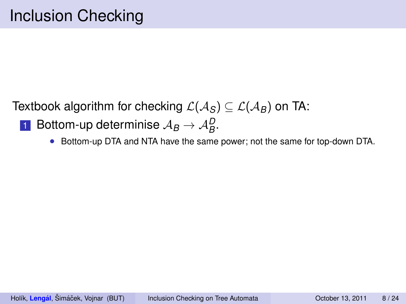- $1$  Bottom-up determinise  $\mathcal{A}_B \to \mathcal{A}_B^D$ .
	- Bottom-up DTA and NTA have the same power; not the same for top-down DTA.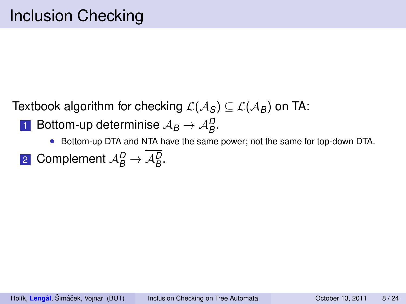- $1$  Bottom-up determinise  $\mathcal{A}_B \to \mathcal{A}_B^D$ .
	- Bottom-up DTA and NTA have the same power; not the same for top-down DTA.
- 2 Complement  $\mathcal{A}_{B}^{D} \rightarrow \mathcal{A}_{B}^{D}$ .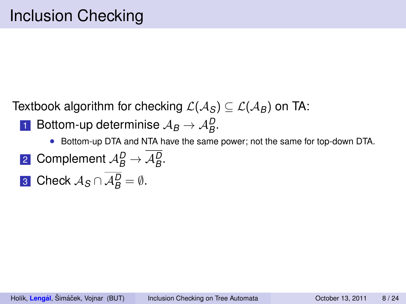- $1$  Bottom-up determinise  $\mathcal{A}_B \to \mathcal{A}_B^D$ .
	- Bottom-up DTA and NTA have the same power; not the same for top-down DTA.
- 2 Complement  $\mathcal{A}_{B}^{D} \rightarrow \mathcal{A}_{B}^{D}$ .
- 3 Check  $A_S \cap A_B^D = \emptyset$ .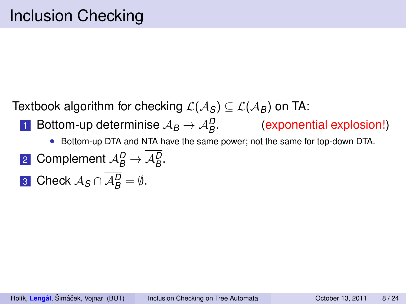- 1 Bottom-up determinise  $A_B \rightarrow A_B^D$ . (exponential explosion!)
	- Bottom-up DTA and NTA have the same power; not the same for top-down DTA.
- 2 Complement  $\mathcal{A}_{B}^{D} \rightarrow \mathcal{A}_{B}^{D}$ .
- 3 Check  $A_S \cap A_B^D = \emptyset$ .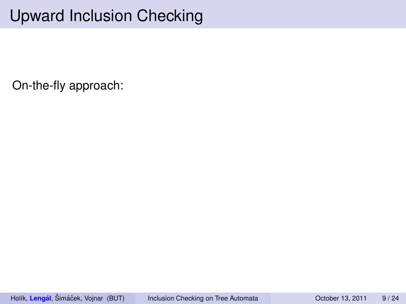# Upward Inclusion Checking

On-the-fly approach: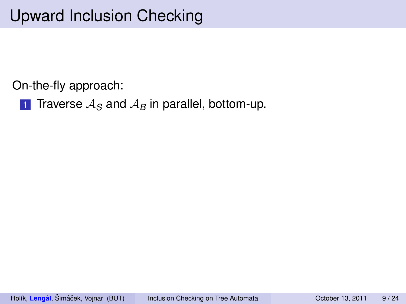On-the-fly approach:

**1** Traverse  $A_S$  and  $A_B$  in parallel, bottom-up.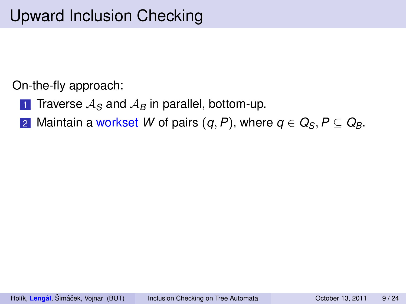On-the-fly approach:

- **1** Traverse  $A_S$  and  $A_B$  in parallel, bottom-up.
- 2 Maintain a workset *W* of pairs  $(q, P)$ , where  $q \in Q_S$ ,  $P \subseteq Q_B$ .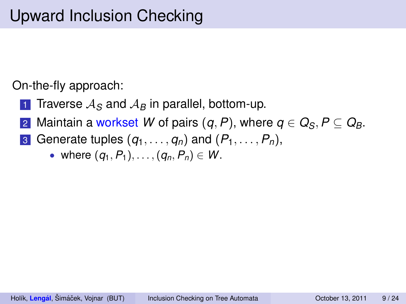- **1** Traverse  $A_S$  and  $A_B$  in parallel, bottom-up.
- 2 Maintain a workset *W* of pairs  $(q, P)$ , where  $q \in Q_S$ ,  $P \subseteq Q_B$ .
- 3 Generate tuples  $(q_1, \ldots, q_n)$  and  $(P_1, \ldots, P_n)$ ,
	- where  $(q_1, P_1), \ldots, (q_n, P_n) \in W$ .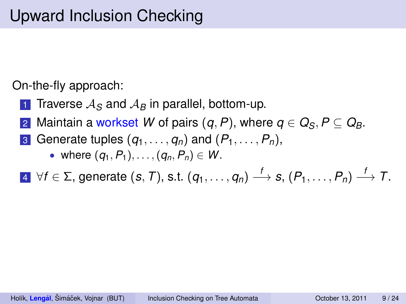- **1** Traverse  $A_S$  and  $A_B$  in parallel, bottom-up.
- 2 Maintain a workset *W* of pairs  $(q, P)$ , where  $q \in Q_S, P \subseteq Q_B$ .
- 3 Generate tuples  $(q_1, \ldots, q_n)$  and  $(P_1, \ldots, P_n)$ ,
	- where  $(q_1, P_1), \ldots, (q_n, P_n) \in W$ .

 $4$  ∀ $f$  ∈ ∑, generate  $(s, T)$ , s.t.  $(q_1, \ldots, q_n) \stackrel{f}{\longrightarrow} s$ ,  $(P_1, \ldots, P_n) \stackrel{f}{\longrightarrow} T$ .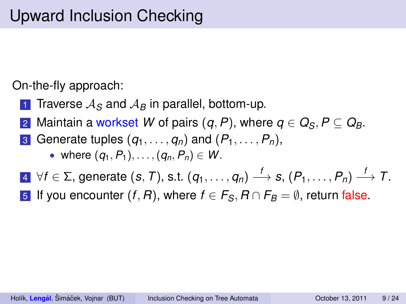- **1** Traverse  $A_S$  and  $A_B$  in parallel, bottom-up.
- 2 Maintain a workset *W* of pairs  $(q, P)$ , where  $q \in Q_S, P \subseteq Q_B$ .
- 3 Generate tuples  $(q_1, \ldots, q_n)$  and  $(P_1, \ldots, P_n)$ ,
	- where  $(q_1, P_1), \ldots, (q_n, P_n) \in W$ .
- $4$  ∀ $f$  ∈ ∑, generate  $(s, T)$ , s.t.  $(q_1, \ldots, q_n) \stackrel{f}{\longrightarrow} s$ ,  $(P_1, \ldots, P_n) \stackrel{f}{\longrightarrow} T$ .
- 5 If you encounter  $(f, R)$ , where  $f \in F_S$ ,  $R \cap F_B = \emptyset$ , return false.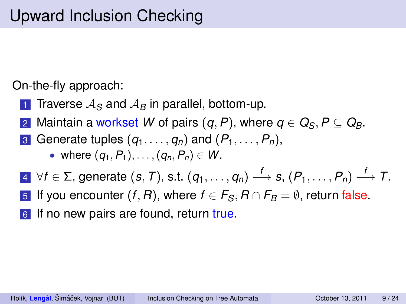- **1** Traverse  $A_S$  and  $A_B$  in parallel, bottom-up.
- 2 Maintain a workset *W* of pairs  $(q, P)$ , where  $q \in Q_S, P \subseteq Q_B$ .
- 3 Generate tuples  $(q_1, \ldots, q_n)$  and  $(P_1, \ldots, P_n)$ ,
	- where  $(q_1, P_1), \ldots, (q_n, P_n) \in W$ .
- $4$  ∀ $f$  ∈ ∑, generate  $(s, T)$ , s.t.  $(q_1, \ldots, q_n) \stackrel{f}{\longrightarrow} s$ ,  $(P_1, \ldots, P_n) \stackrel{f}{\longrightarrow} T$ .
- 5 If you encounter  $(f, R)$ , where  $f \in F_S$ ,  $R \cap F_B = \emptyset$ , return false.
- 6 If no new pairs are found, return true.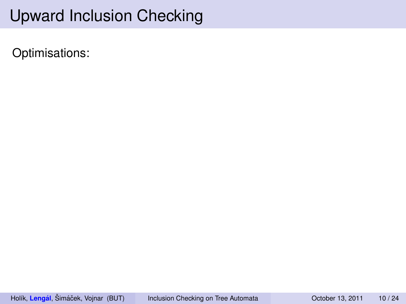Optimisations: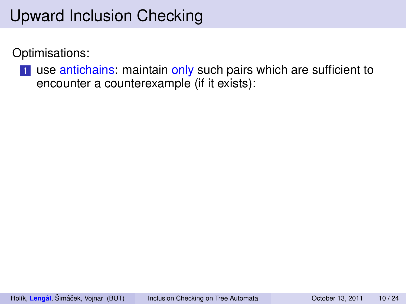Optimisations:

1 use antichains: maintain only such pairs which are sufficient to encounter a counterexample (if it exists):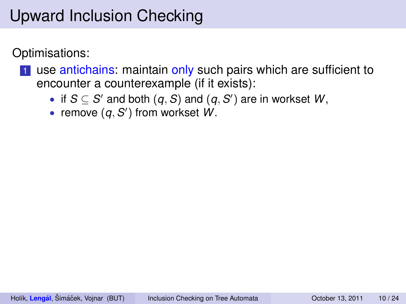Optimisations:

- **1** use antichains: maintain only such pairs which are sufficient to encounter a counterexample (if it exists):
	- if  $S \subseteq S'$  and both  $(q, S)$  and  $(q, S')$  are in workset  $W$ ,
	- remove  $(q, S')$  from workset  $W$ .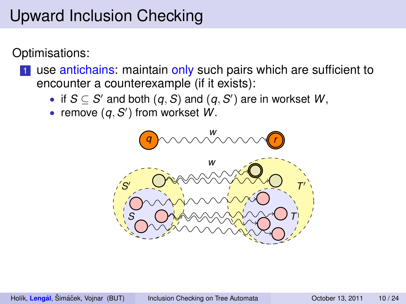Optimisations:

- **1** use antichains: maintain only such pairs which are sufficient to encounter a counterexample (if it exists):
	- if  $S \subseteq S'$  and both  $(q, S)$  and  $(q, S')$  are in workset  $W$ ,
	- remove  $(q, S')$  from workset  $W$ .

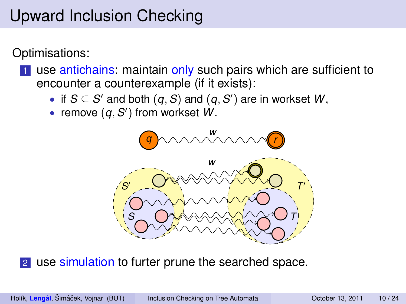Optimisations:

- **1** use antichains: maintain only such pairs which are sufficient to encounter a counterexample (if it exists):
	- if  $S \subseteq S'$  and both  $(q, S)$  and  $(q, S')$  are in workset  $W$ ,
	- remove  $(q, S')$  from workset  $W$ .



2 use simulation to furter prune the searched space.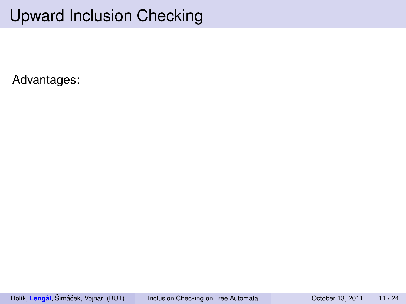Advantages: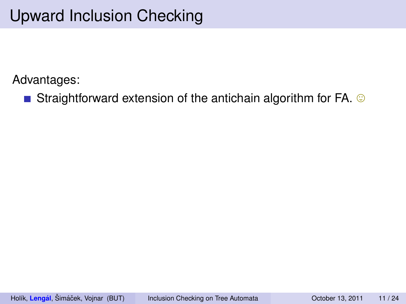Straightforward extension of the antichain algorithm for FA.  $\odot$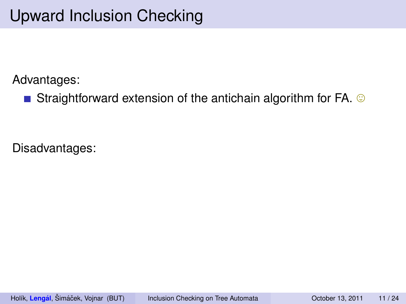Straightforward extension of the antichain algorithm for FA.  $\odot$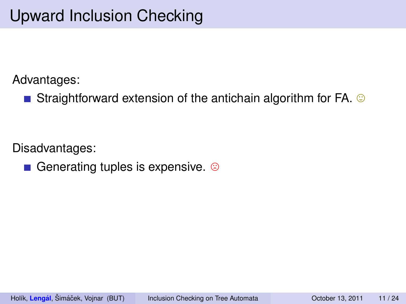Straightforward extension of the antichain algorithm for FA.  $\odot$ 

Disadvantages:

Generating tuples is expensive.  $\odot$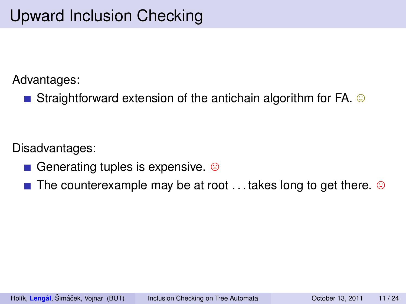Straightforward extension of the antichain algorithm for FA.  $\odot$ 

- Generating tuples is expensive.  $\odot$
- **The counterexample may be at root ... takes long to get there.**  $\circledcirc$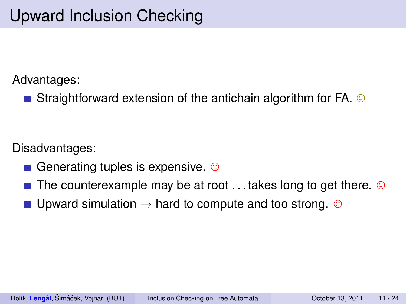**Straightforward extension of the antichain algorithm for FA.**  $\odot$ 

- Generating tuples is expensive.  $\odot$
- **The counterexample may be at root ... takes long to get there.**  $\circledcirc$
- Upward simulation  $\rightarrow$  hard to compute and too strong. ©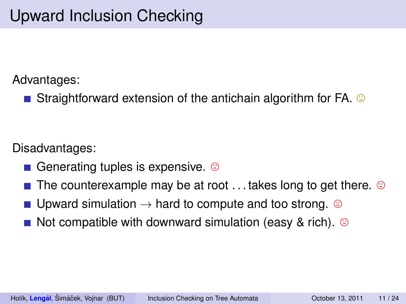**Straightforward extension of the antichain algorithm for FA.**  $\odot$ 

- Generating tuples is expensive.  $\odot$
- **The counterexample may be at root ... takes long to get there.**  $\circledcirc$
- Upward simulation  $\rightarrow$  hard to compute and too strong. ©
- Not compatible with downward simulation (easy & rich).  $\odot$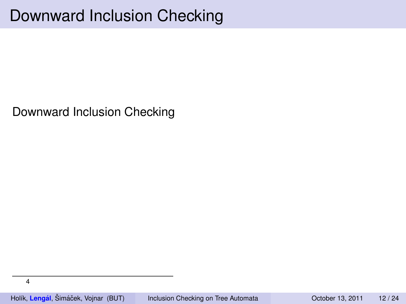Downward Inclusion Checking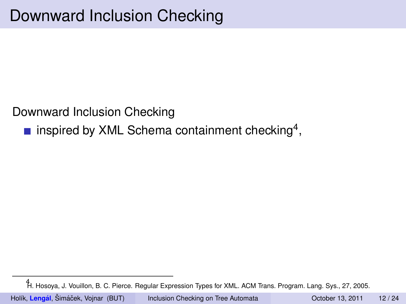inspired by XML Schema containment checking<sup>4</sup>,

<sup>4</sup> H. Hosoya, J. Vouillon, B. C. Pierce. Regular Expression Types for XML. ACM Trans. Program. Lang. Sys., 27, 2005.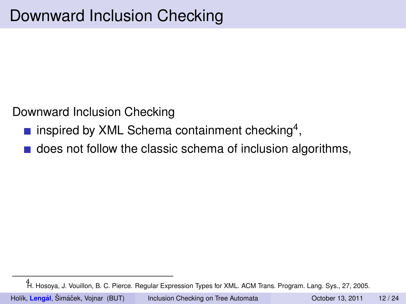- inspired by XML Schema containment checking<sup>4</sup>,
- does not follow the classic schema of inclusion algorithms,

<sup>4</sup> H. Hosoya, J. Vouillon, B. C. Pierce. Regular Expression Types for XML. ACM Trans. Program. Lang. Sys., 27, 2005.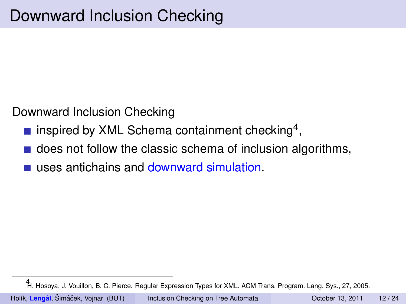- inspired by XML Schema containment checking<sup>4</sup>,
- **does not follow the classic schema of inclusion algorithms,**
- uses antichains and downward simulation.

<sup>4</sup> H. Hosoya, J. Vouillon, B. C. Pierce. Regular Expression Types for XML. ACM Trans. Program. Lang. Sys., 27, 2005.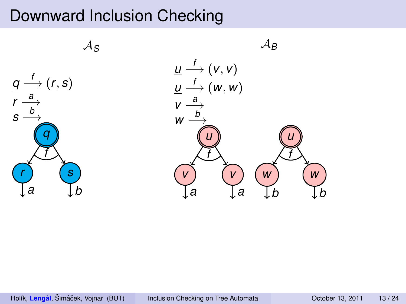A*<sup>S</sup>*



 $\mathcal{A}_B$  $\underline{\mu} \stackrel{f}{\longrightarrow}$   $(\nu,\nu)$ *u f* −→ (*w*, *w*)  $v \xrightarrow{a}$  $w \stackrel{b}{\longrightarrow}$ *u v a v a f u w b w b f*

Holík, Lengál, Šimáček, Vojnar (BUT) **inclusion Checking on Tree Automata** October 13, 2011 13 / 24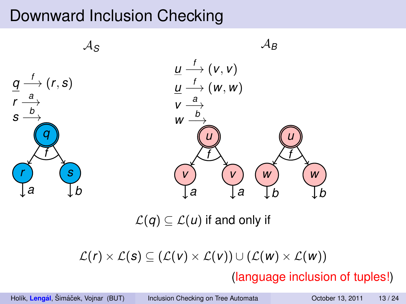

 $\mathcal{L}(q) \subseteq \mathcal{L}(u)$  if and only if

 $\mathcal{L}(r) \times \mathcal{L}(s) \subseteq (\mathcal{L}(v) \times \mathcal{L}(v)) \cup (\mathcal{L}(w) \times \mathcal{L}(w))$ 

(language inclusion of tuples!)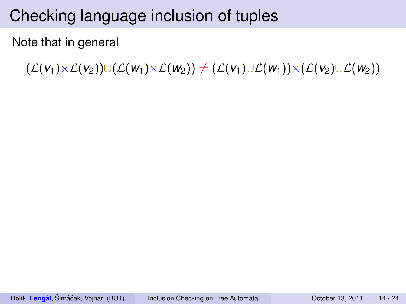#### Note that in general

 $(\mathcal{L}(v_1) \times \mathcal{L}(v_2)) \cup (\mathcal{L}(w_1) \times \mathcal{L}(w_2))$  ≠ ( $\mathcal{L}(v_1) \cup \mathcal{L}(w_1) \times (\mathcal{L}(v_2) \cup \mathcal{L}(w_2))$ )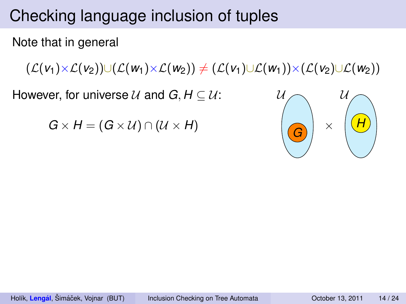Note that in general

 $(\mathcal{L}(v_1) \times \mathcal{L}(v_2)) \cup (\mathcal{L}(w_1) \times \mathcal{L}(w_2))$  ≠ ( $\mathcal{L}(v_1) \cup \mathcal{L}(w_1) \times (\mathcal{L}(v_2) \cup \mathcal{L}(w_2))$ )

However, for universe  $U$  and  $G, H \subseteq U$ :

 $G \times H = (G \times U) \cap (U \times H)$ 

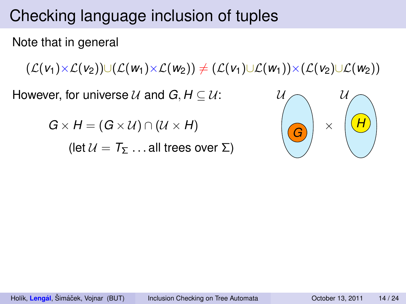Note that in general

 $(\mathcal{L}(v_1) \times \mathcal{L}(v_2)) \cup (\mathcal{L}(w_1) \times \mathcal{L}(w_2))$  ≠ ( $\mathcal{L}(v_1) \cup \mathcal{L}(w_1) \times (\mathcal{L}(v_2) \cup \mathcal{L}(w_2))$ )

However, for universe  $U$  and  $G, H \subseteq U$ :

 $G \times H = (G \times U) \cap (U \times H)$ 

(let  $U = T_5$  ... all trees over  $\Sigma$ )

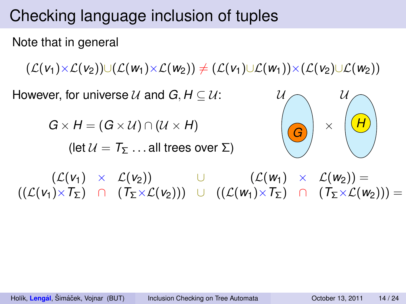Note that in general

 $(\mathcal{L}(v_1) \times \mathcal{L}(v_2)) \cup (\mathcal{L}(w_1) \times \mathcal{L}(w_2))$  ≠ ( $\mathcal{L}(v_1) \cup \mathcal{L}(w_1) \times (\mathcal{L}(v_2) \cup \mathcal{L}(w_2))$ )

However, for universe  $U$  and  $G, H \subseteq U$ :

 $G \times H = (G \times U) \cap (U \times H)$ 

(let  $U = T_5$  ... all trees over  $\Sigma$ )



 $(\mathcal{L}(v_1) \times \mathcal{L}(v_2))$  ∪  $(\mathcal{L}(w_1) \times \mathcal{L}(w_2)) =$  $((\mathcal{L}(v_1)\times \mathcal{T}_\Sigma) \cap (\mathcal{T}_\Sigma\times \mathcal{L}(v_2))) \cup ((\mathcal{L}(w_1)\times \mathcal{T}_\Sigma) \cap (\mathcal{T}_\Sigma\times \mathcal{L}(w_2))) =$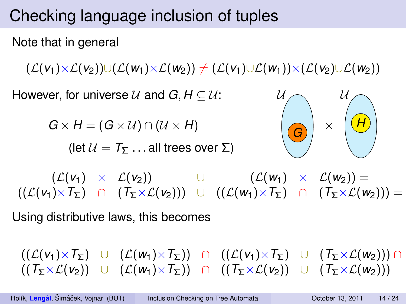Note that in general

 $(\mathcal{L}(v_1) \times \mathcal{L}(v_2)) \cup (\mathcal{L}(w_1) \times \mathcal{L}(w_2))$  ≠ ( $\mathcal{L}(v_1) \cup \mathcal{L}(w_1) \times (\mathcal{L}(v_2) \cup \mathcal{L}(w_2))$ )

However, for universe  $U$  and  $G, H \subseteq U$ :

 $G \times H = (G \times U) \cap (U \times H)$ 

(let  $U = T_5$  ... all trees over  $\Sigma$ )



 $(\mathcal{L}(v_1) \times \mathcal{L}(v_2))$  ∪  $(\mathcal{L}(w_1) \times \mathcal{L}(w_2)) =$  $((\mathcal{L}(v_1)\times \mathcal{T}_\Sigma) \cap (\mathcal{T}_\Sigma\times \mathcal{L}(v_2))) \cup ((\mathcal{L}(w_1)\times \mathcal{T}_\Sigma) \cap (\mathcal{T}_\Sigma\times \mathcal{L}(w_2))) =$ 

Using distributive laws, this becomes

 $((\mathcal{L}(v_1) \times T_{\Sigma})$  ∪  $(\mathcal{L}(w_1) \times T_{\Sigma})$  ∩  $((\mathcal{L}(v_1) \times T_{\Sigma})$  ∪  $(T_{\Sigma} \times \mathcal{L}(w_2))$ ) ∩  $((T_{\Sigma}\times\mathcal{L}(v_2))$  ∪  $(\mathcal{L}(w_1)\times T_{\Sigma})$  ∩  $((T_{\Sigma}\times\mathcal{L}(v_2))$  ∪  $(T_{\Sigma}\times\mathcal{L}(w_2)))$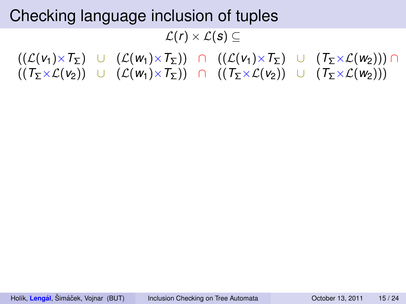$L(r) \times L(s)$  ⊂

 $((\mathcal{L}(v_1) \times \mathcal{T}_\Sigma)$  ∪  $(\mathcal{L}(w_1) \times \mathcal{T}_\Sigma)$  ∩  $((\mathcal{L}(v_1) \times \mathcal{T}_\Sigma)$  ∪  $(\mathcal{T}_\Sigma \times \mathcal{L}(w_2)))$  ∩  $((T_\Sigma \times \mathcal{L}(v_2))$  ∪  $(\mathcal{L}(w_1) \times T_\Sigma)$  ∩  $((T_\Sigma \times \mathcal{L}(v_2))$  ∪  $(T_\Sigma \times \mathcal{L}(w_2)))$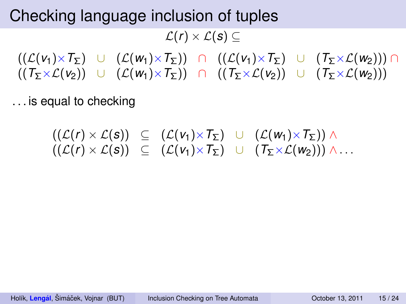$L(r) \times L(s)$  ⊂

 $((\mathcal{L}(v_1) \times \mathcal{T}_\Sigma)$  ∪  $(\mathcal{L}(w_1) \times \mathcal{T}_\Sigma)$  ∩  $((\mathcal{L}(v_1) \times \mathcal{T}_\Sigma)$  ∪  $(\mathcal{T}_\Sigma \times \mathcal{L}(w_2)))$  ∩  $((T_\Sigma \times \mathcal{L}(v_2))$  ∪  $(\mathcal{L}(w_1) \times T_\Sigma)$  ∩  $((T_\Sigma \times \mathcal{L}(v_2))$  ∪  $(T_\Sigma \times \mathcal{L}(w_2)))$ 

. . . is equal to checking

$$
\begin{array}{rcl}\n((\mathcal{L}(r) \times \mathcal{L}(s)) & \subseteq & (\mathcal{L}(v_1) \times \mathcal{T}_\Sigma) \cup (\mathcal{L}(w_1) \times \mathcal{T}_\Sigma)) \wedge \\
((\mathcal{L}(r) \times \mathcal{L}(s)) & \subseteq & (\mathcal{L}(v_1) \times \mathcal{T}_\Sigma) \cup (\mathcal{T}_\Sigma \times \mathcal{L}(w_2))) \wedge \dots\n\end{array}
$$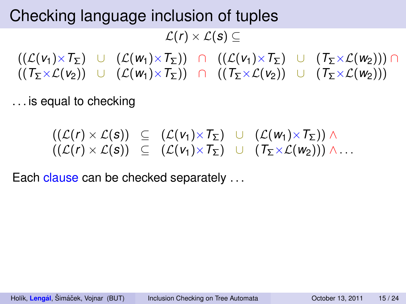$L(r) \times L(s)$  ⊂

 $((\mathcal{L}(v_1) \times \mathcal{T}_\Sigma)$  ∪  $(\mathcal{L}(w_1) \times \mathcal{T}_\Sigma)$  ∩  $((\mathcal{L}(v_1) \times \mathcal{T}_\Sigma)$  ∪  $(\mathcal{T}_\Sigma \times \mathcal{L}(w_2)))$  ∩  $((T_\Sigma \times \mathcal{L}(v_2))$  ∪  $(\mathcal{L}(w_1) \times T_\Sigma)$  ∩  $((T_\Sigma \times \mathcal{L}(v_2))$  ∪  $(T_\Sigma \times \mathcal{L}(w_2)))$ 

. . . is equal to checking

$$
\begin{array}{rcl}\n((\mathcal{L}(r) \times \mathcal{L}(s)) & \subseteq & (\mathcal{L}(v_1) \times T_{\Sigma}) \quad \cup \quad (\mathcal{L}(w_1) \times T_{\Sigma})) \land \\
((\mathcal{L}(r) \times \mathcal{L}(s)) & \subseteq & (\mathcal{L}(v_1) \times T_{\Sigma}) \quad \cup \quad (T_{\Sigma} \times \mathcal{L}(w_2))) \land \dots\n\end{array}
$$

Each clause can be checked separately ...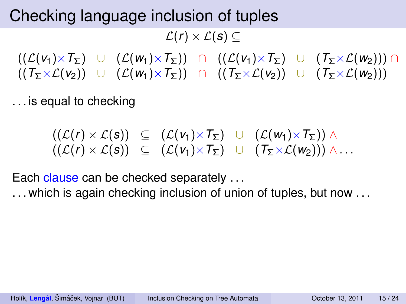$L(r) \times L(s)$  ⊂

 $((\mathcal{L}(v_1) \times \mathcal{T}_\Sigma)$  ∪  $(\mathcal{L}(w_1) \times \mathcal{T}_\Sigma)$  ∩  $((\mathcal{L}(v_1) \times \mathcal{T}_\Sigma)$  ∪  $(\mathcal{T}_\Sigma \times \mathcal{L}(w_2)))$  ∩  $((T_\Sigma \times \mathcal{L}(v_2))$  ∪  $(\mathcal{L}(w_1) \times T_\Sigma)$  ∩  $((T_\Sigma \times \mathcal{L}(v_2))$  ∪  $(T_\Sigma \times \mathcal{L}(w_2)))$ 

. . . is equal to checking

$$
\begin{array}{rcl}\n((\mathcal{L}(r) \times \mathcal{L}(s)) & \subseteq & (\mathcal{L}(v_1) \times T_{\Sigma}) \quad \cup \quad (\mathcal{L}(w_1) \times T_{\Sigma})) \land \\
((\mathcal{L}(r) \times \mathcal{L}(s)) & \subseteq & (\mathcal{L}(v_1) \times T_{\Sigma}) \quad \cup \quad (T_{\Sigma} \times \mathcal{L}(w_2))) \land \dots\n\end{array}
$$

Each clause can be checked separately ...

... which is again checking inclusion of union of tuples, but now ...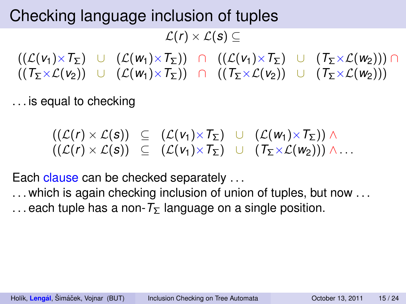$L(r) \times L(s)$  ⊂

 $((\mathcal{L}(v_1) \times \mathcal{T}_\Sigma)$  ∪  $(\mathcal{L}(w_1) \times \mathcal{T}_\Sigma)$  ∩  $((\mathcal{L}(v_1) \times \mathcal{T}_\Sigma)$  ∪  $(\mathcal{T}_\Sigma \times \mathcal{L}(w_2)))$  ∩  $((T_\Sigma \times \mathcal{L}(v_2))$  ∪  $(\mathcal{L}(w_1) \times T_\Sigma)$  ∩  $((T_\Sigma \times \mathcal{L}(v_2))$  ∪  $(T_\Sigma \times \mathcal{L}(w_2)))$ 

. . . is equal to checking

$$
\begin{array}{rcl}\n((\mathcal{L}(r) \times \mathcal{L}(s)) & \subseteq & (\mathcal{L}(v_1) \times T_{\Sigma}) \quad \cup \quad (\mathcal{L}(w_1) \times T_{\Sigma})) \land \\
((\mathcal{L}(r) \times \mathcal{L}(s)) & \subseteq & (\mathcal{L}(v_1) \times T_{\Sigma}) \quad \cup \quad (T_{\Sigma} \times \mathcal{L}(w_2))) \land \dots\n\end{array}
$$

Each clause can be checked separately ...

... which is again checking inclusion of union of tuples, but now ... ... each tuple has a non- $T_{\Sigma}$  language on a single position.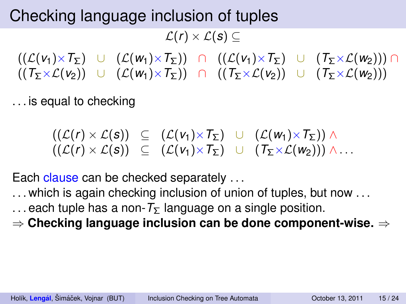$L(r) \times L(s)$  ⊂

 $((\mathcal{L}(v_1) \times \mathcal{T}_\Sigma)$  ∪  $(\mathcal{L}(w_1) \times \mathcal{T}_\Sigma)$  ∩  $((\mathcal{L}(v_1) \times \mathcal{T}_\Sigma)$  ∪  $(\mathcal{T}_\Sigma \times \mathcal{L}(w_2)))$  ∩  $((T_\Sigma \times \mathcal{L}(v_2))$  ∪  $(\mathcal{L}(w_1) \times T_\Sigma)$  ∩  $((T_\Sigma \times \mathcal{L}(v_2))$  ∪  $(T_\Sigma \times \mathcal{L}(w_2)))$ 

. . . is equal to checking

$$
\begin{array}{rcl}\n((\mathcal{L}(r) \times \mathcal{L}(s)) & \subseteq & (\mathcal{L}(v_1) \times T_{\Sigma}) \quad \cup \quad (\mathcal{L}(w_1) \times T_{\Sigma})) \land \\
((\mathcal{L}(r) \times \mathcal{L}(s)) & \subseteq & (\mathcal{L}(v_1) \times T_{\Sigma}) \quad \cup \quad (T_{\Sigma} \times \mathcal{L}(w_2))) \land \dots\n\end{array}
$$

Each clause can be checked separately ...

- ... which is again checking inclusion of union of tuples, but now ...
- ... each tuple has a non- $T_{\Sigma}$  language on a single position.
- ⇒ **Checking language inclusion can be done component-wise.** ⇒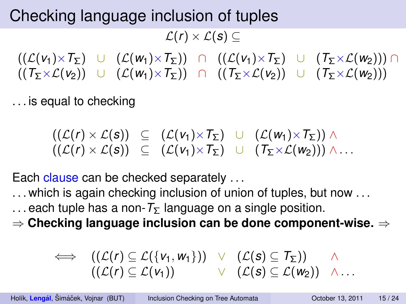$L(r) \times L(s)$  ⊂

 $((\mathcal{L}(v_1) \times \mathcal{T}_\Sigma)$  ∪  $(\mathcal{L}(w_1) \times \mathcal{T}_\Sigma)$  ∩  $((\mathcal{L}(v_1) \times \mathcal{T}_\Sigma)$  ∪  $(\mathcal{T}_\Sigma \times \mathcal{L}(w_2)))$  ∩  $((T_\Sigma \times \mathcal{L}(v_2))$  ∪  $(\mathcal{L}(w_1) \times T_\Sigma)$  ∩  $((T_\Sigma \times \mathcal{L}(v_2))$  ∪  $(T_\Sigma \times \mathcal{L}(w_2)))$ 

. . . is equal to checking

$$
\begin{array}{rcl}\n((\mathcal{L}(r) \times \mathcal{L}(s)) & \subseteq & (\mathcal{L}(v_1) \times \mathcal{T}_\Sigma) \quad \cup \quad (\mathcal{L}(w_1) \times \mathcal{T}_\Sigma) \land \\
((\mathcal{L}(r) \times \mathcal{L}(s)) & \subseteq & (\mathcal{L}(v_1) \times \mathcal{T}_\Sigma) \quad \cup \quad (\mathcal{T}_\Sigma \times \mathcal{L}(w_2)) \land \dots\n\end{array}
$$

Each clause can be checked separately ...

... which is again checking inclusion of union of tuples, but now ...

... each tuple has a non- $T_{\Sigma}$  language on a single position.

⇒ **Checking language inclusion can be done component-wise.** ⇒

$$
\iff ((\mathcal{L}(r) \subseteq \mathcal{L}(\{v_1, w_1\})) \lor (\mathcal{L}(s) \subseteq \mathcal{T}_{\Sigma})) \land ((\mathcal{L}(r) \subseteq \mathcal{L}(v_1)) \lor (\mathcal{L}(s) \subseteq \mathcal{L}(w_2)) \land ...
$$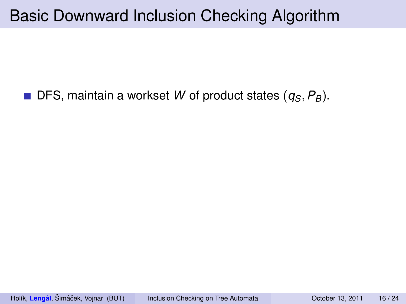#### Basic Downward Inclusion Checking Algorithm

#### $\blacksquare$  DFS, maintain a workset *W* of product states  $(q_S, P_B)$ .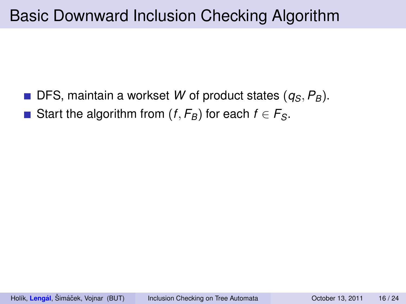- DFS, maintain a workset *W* of product states (*qS*, *PB*).  $\mathcal{O}(\mathcal{A})$
- Start the algorithm from  $(f, F_B)$  for each  $f \in F_S$ .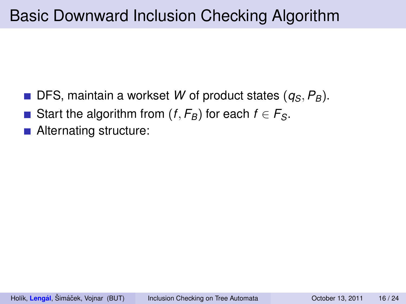- DFS, maintain a workset *W* of product states (*qS*, *PB*).
- Start the algorithm from  $(f, F_B)$  for each  $f \in F_S$ .
- Alternating structure: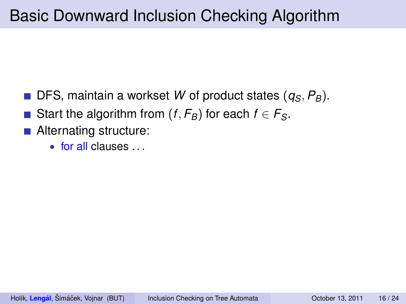- DFS, maintain a workset *W* of product states (*qS*, *PB*).
- Start the algorithm from  $(f, F_B)$  for each  $f \in F_S$ .
- Alternating structure:
	- $\bullet$  for all clauses .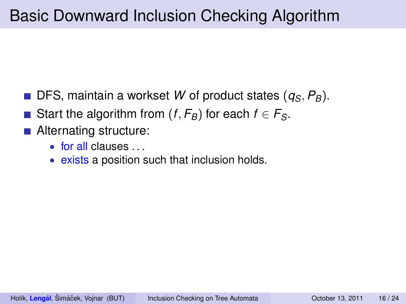- DFS, maintain a workset *W* of product states (*qS*, *PB*).
- Start the algorithm from  $(f, F_B)$  for each  $f \in F_S$ .
- Alternating structure:
	- $\bullet$  for all clauses  $\bullet$
	- exists a position such that inclusion holds.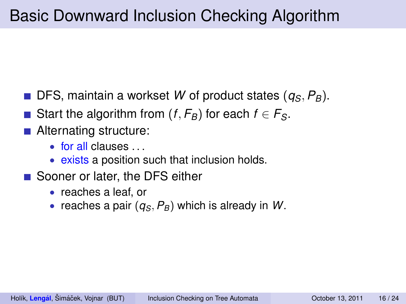- DFS, maintain a workset *W* of product states (*qS*, *PB*).
- Start the algorithm from  $(f, F_B)$  for each  $f \in F_S$ .
- Alternating structure:
	- $\bullet$  for all clauses  $\bullet$
	- exists a position such that inclusion holds.
- Sooner or later, the DFS either
	- reaches a leaf, or
	- reaches a pair (*qS*, *PB*) which is already in *W*.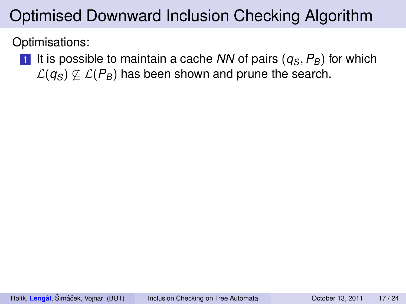Optimisations:

1 It is possible to maintain a cache *NN* of pairs  $(q_S, P_B)$  for which  $\mathcal{L}(q_s) \not\subset \mathcal{L}(P_B)$  has been shown and prune the search.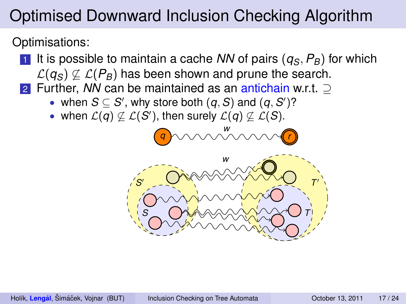Optimisations:

- 1 It is possible to maintain a cache *NN* of pairs  $(q_S, P_B)$  for which  $\mathcal{L}(q_S) \not\subset \mathcal{L}(P_B)$  has been shown and prune the search.
- 2 Further, *NN* can be maintained as an antichain w.r.t. ⊃
	- when  $S \subseteq S'$ , why store both  $(q, S)$  and  $(q, S')$ ?
	- when  $\mathcal{L}(q) \not\subseteq \mathcal{L}(S')$ , then surely  $\mathcal{L}(q) \not\subseteq \mathcal{L}(S)$ .



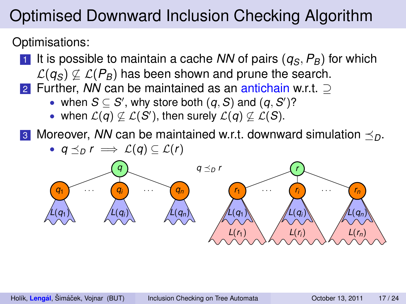Optimisations:

- 1 It is possible to maintain a cache *NN* of pairs  $(q_S, P_B)$  for which  $\mathcal{L}(q_s) \not\subset \mathcal{L}(P_B)$  has been shown and prune the search.
- 2 Further, *NN* can be maintained as an antichain w.r.t. ⊃
	- when  $S \subseteq S'$ , why store both  $(q, S)$  and  $(q, S')$ ?
	- when  $\mathcal{L}(q) \not\subseteq \mathcal{L}(S')$ , then surely  $\mathcal{L}(q) \not\subseteq \mathcal{L}(S)$ .

**3** Moreover, *NN* can be maintained w.r.t. downward simulation  $\leq_{\Omega}$ .

•  $q \preceq_D r \implies \mathcal{L}(q) \subseteq \mathcal{L}(r)$ 

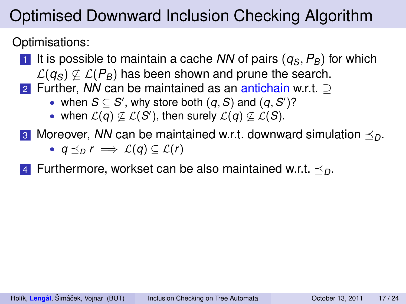Optimisations:

- 1 It is possible to maintain a cache *NN* of pairs  $(q_S, P_B)$  for which  $\mathcal{L}(q_S) \not\subset \mathcal{L}(P_B)$  has been shown and prune the search.
- 2 Further, *NN* can be maintained as an antichain w.r.t. ⊃
	- when  $S \subseteq S'$ , why store both  $(q, S)$  and  $(q, S')$ ?
	- when  $\mathcal{L}(q) \not\subseteq \mathcal{L}(S')$ , then surely  $\mathcal{L}(q) \not\subseteq \mathcal{L}(S)$ .
- **3** Moreover, *NN* can be maintained w.r.t. downward simulation  $\leq_{D}$ .
	- $q \preceq_D r \implies \mathcal{L}(q) \subseteq \mathcal{L}(r)$
- 4 Furthermore, workset can be also maintained w.r.t.  $\prec_{\Omega}$ .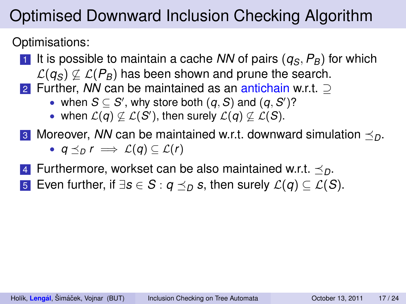Optimisations:

- 1 It is possible to maintain a cache *NN* of pairs  $(q_S, P_B)$  for which  $\mathcal{L}(q_S) \not\subset \mathcal{L}(P_B)$  has been shown and prune the search.
- 2 Further, *NN* can be maintained as an antichain w.r.t. ⊃
	- when  $S \subseteq S'$ , why store both  $(q, S)$  and  $(q, S')$ ?
	- when  $\mathcal{L}(q) \not\subseteq \mathcal{L}(S')$ , then surely  $\mathcal{L}(q) \not\subseteq \mathcal{L}(S)$ .
- **3** Moreover, *NN* can be maintained w.r.t. downward simulation  $\leq_{D}$ .
	- $q \preceq_D r \implies \mathcal{L}(q) \subseteq \mathcal{L}(r)$
- 4 Furthermore, workset can be also maintained w.r.t.  $\prec_{\Omega}$ .
- **5** Even further, if  $\exists s \in S : q \leq_D s$ , then surely  $\mathcal{L}(q) \subseteq \mathcal{L}(S)$ .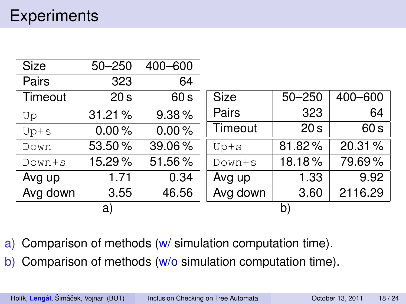| <b>Size</b> | $50 - 250$      | 400-600 |             |                 |         |
|-------------|-----------------|---------|-------------|-----------------|---------|
| Pairs       | 323             | 64      |             |                 |         |
| Timeout     | 20 <sub>s</sub> | 60 s    | <b>Size</b> | $50 - 250$      | 400-600 |
| Up          | 31.21%          | 9.38%   | Pairs       | 323             | 64      |
| $Up+s$      | 0.00%           | 0.00%   | Timeout     | 20 <sub>s</sub> | 60 s    |
| Down        | 53.50%          | 39.06%  | $Up+s$      | 81.82%          | 20.31%  |
| $Down+s$    | 15.29%          | 51.56%  | $Down+s$    | 18.18%          | 79.69%  |
| Avg up      | 1.71            | 0.34    | Avg up      | 1.33            | 9.92    |
| Avg down    | 3.55            | 46.56   | Avg down    | 3.60            | 2116.29 |
| a)          |                 |         | b)          |                 |         |

a) Comparison of methods (w/ simulation computation time).

b) Comparison of methods (w/o simulation computation time).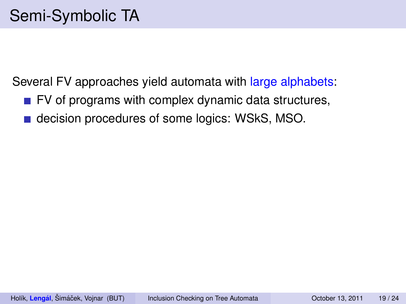Several FV approaches yield automata with large alphabets:

- $\blacksquare$  FV of programs with complex dynamic data structures,
- decision procedures of some logics: WSkS, MSO.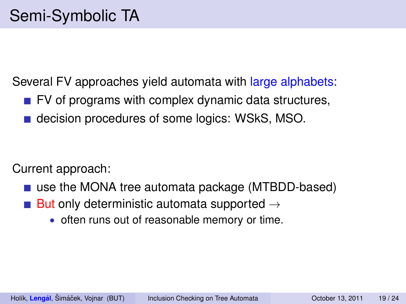Several FV approaches yield automata with large alphabets:

- $\blacksquare$  FV of programs with complex dynamic data structures,
- decision procedures of some logics: WSkS, MSO.

Current approach:

- use the MONA tree automata package (MTBDD-based)
- But only deterministic automata supported  $\rightarrow$ 
	- often runs out of reasonable memory or time.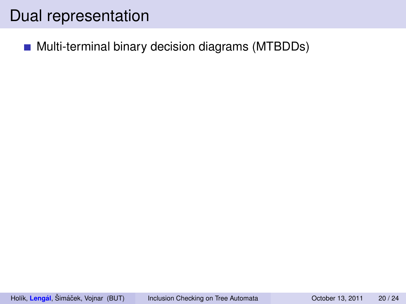#### Dual representation

**Multi-terminal binary decision diagrams (MTBDDs)**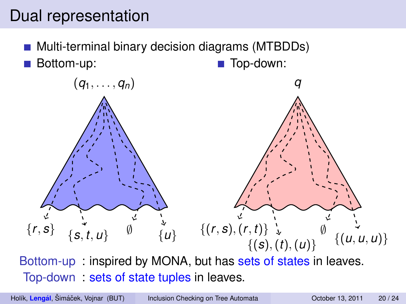#### Dual representation

Multi-terminal binary decision diagrams (MTBDDs) Bottom-up: Top-down:



Bottom-up : inspired by MONA, but has sets of states in leaves. Top-down : sets of state tuples in leaves.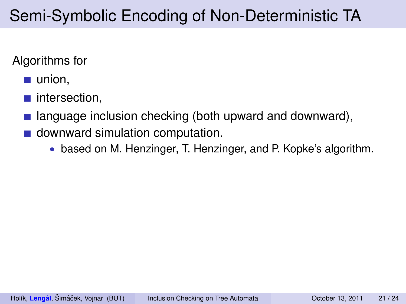#### Algorithms for

- $\blacksquare$  union.
- intersection,
- language inclusion checking (both upward and downward),
- downward simulation computation.
	- based on M. Henzinger, T. Henzinger, and P. Kopke's algorithm.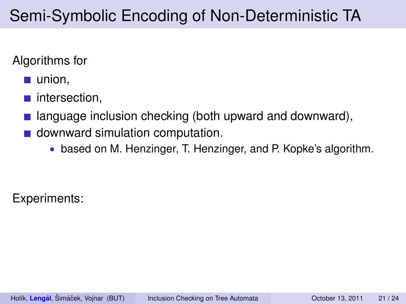#### Algorithms for

- $\blacksquare$  union.
- intersection,
- language inclusion checking (both upward and downward),
- downward simulation computation.
	- based on M. Henzinger, T. Henzinger, and P. Kopke's algorithm.

Experiments: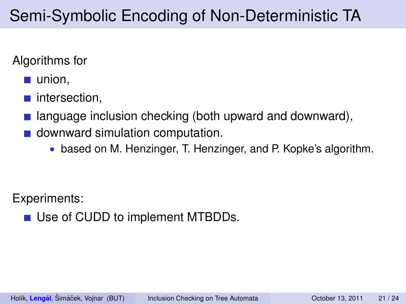#### Algorithms for

- $\blacksquare$  union.
- intersection,
- language inclusion checking (both upward and downward),
- downward simulation computation.
	- based on M. Henzinger, T. Henzinger, and P. Kopke's algorithm.

Experiments:

■ Use of CUDD to implement MTBDDs.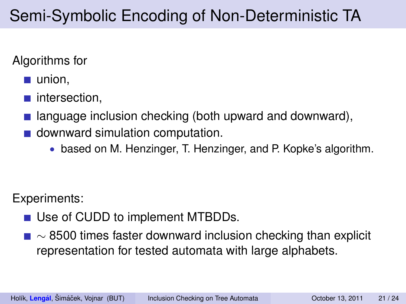#### Algorithms for

- $\blacksquare$  union.
- $\blacksquare$  intersection.
- language inclusion checking (both upward and downward),
- **downward simulation computation.** 
	- based on M. Henzinger, T. Henzinger, and P. Kopke's algorithm.

Experiments:

- Use of CUDD to implement MTBDDs.
- $\blacksquare \sim$  8500 times faster downward inclusion checking than explicit representation for tested automata with large alphabets.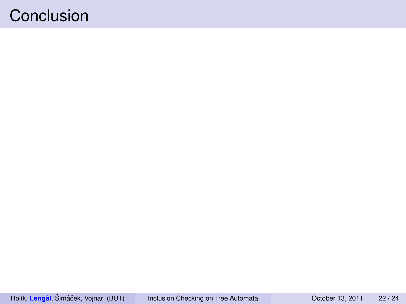#### Conclusion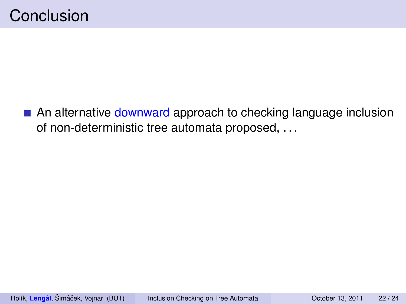An alternative downward approach to checking language inclusion of non-deterministic tree automata proposed, . . .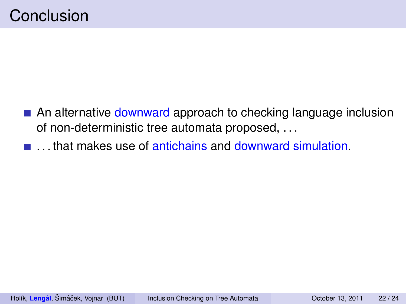- An alternative downward approach to checking language inclusion of non-deterministic tree automata proposed, . . .
- $\blacksquare$  . that makes use of antichains and downward simulation.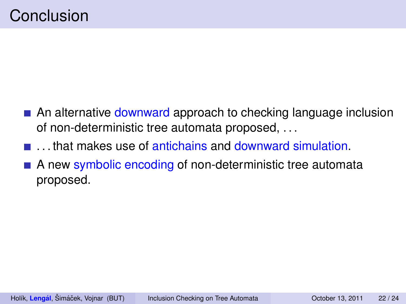- **An alternative downward approach to checking language inclusion** of non-deterministic tree automata proposed, . . .
- . . . that makes use of antichains and downward simulation.
- A new symbolic encoding of non-deterministic tree automata proposed.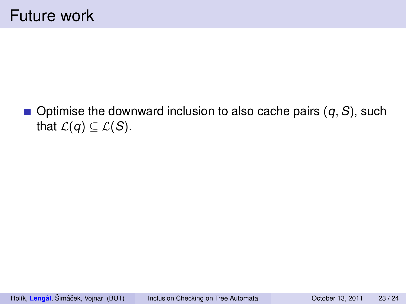$\blacksquare$  Optimise the downward inclusion to also cache pairs  $(q, S)$ , such that  $\mathcal{L}(q) \subseteq \mathcal{L}(S)$ .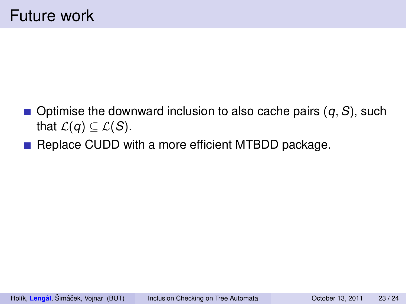- $\blacksquare$  Optimise the downward inclusion to also cache pairs  $(q, S)$ , such that  $\mathcal{L}(q) \subseteq \mathcal{L}(S)$ .
- Replace CUDD with a more efficient MTBDD package.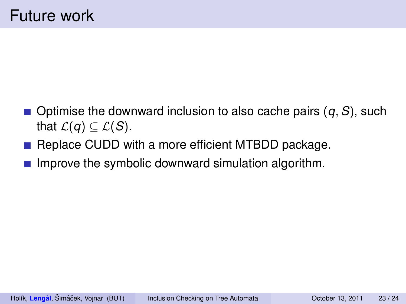- $\blacksquare$  Optimise the downward inclusion to also cache pairs  $(q, S)$ , such that  $\mathcal{L}(q) \subseteq \mathcal{L}(S)$ .
- **Replace CUDD with a more efficient MTBDD package.**
- **Improve the symbolic downward simulation algorithm.**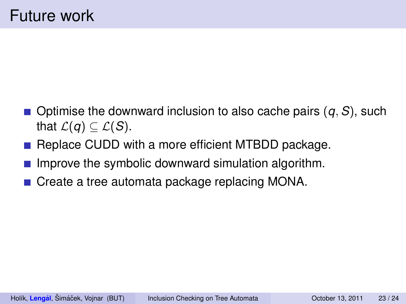- $\blacksquare$  Optimise the downward inclusion to also cache pairs  $(q, S)$ , such that  $\mathcal{L}(q) \subseteq \mathcal{L}(S)$ .
- Replace CUDD with a more efficient MTBDD package.
- Improve the symbolic downward simulation algorithm.
- Create a tree automata package replacing MONA.